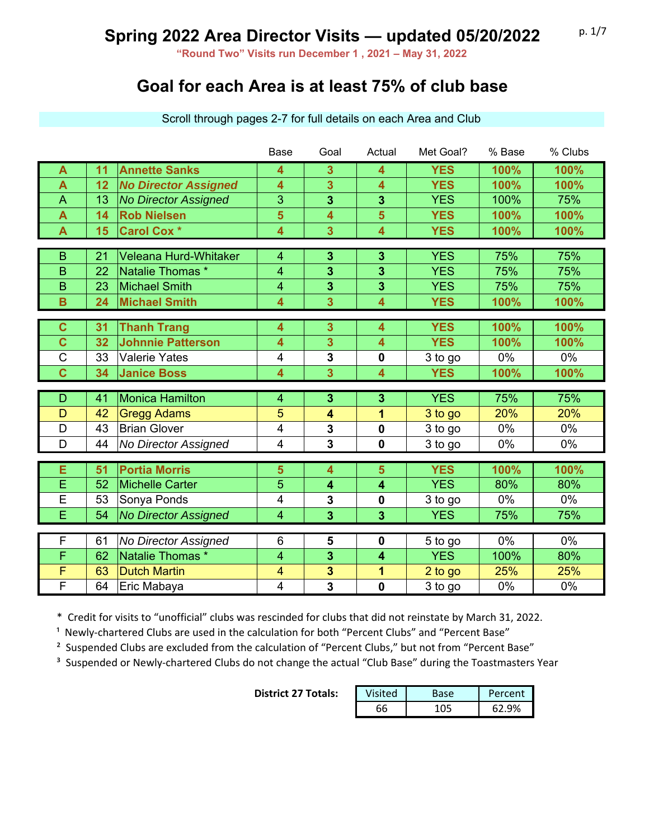**"Round Two" Visits run December 1 , 2021 – May 31, 2022**

### **Goal for each Area is at least 75% of club base**

|                         |    |                              | <b>Base</b>             | Goal                    | Actual                  | Met Goal?  | % Base | % Clubs |
|-------------------------|----|------------------------------|-------------------------|-------------------------|-------------------------|------------|--------|---------|
| $\overline{\mathsf{A}}$ | 11 | <b>Annette Sanks</b>         | 4                       | 3                       | 4                       | <b>YES</b> | 100%   | 100%    |
| $\overline{\mathsf{A}}$ | 12 | <b>No Director Assigned</b>  | 4                       | $\overline{\mathbf{3}}$ | $\overline{\mathbf{4}}$ | <b>YES</b> | 100%   | 100%    |
| $\overline{A}$          | 13 | <b>No Director Assigned</b>  | 3                       | 3                       | 3                       | <b>YES</b> | 100%   | 75%     |
| A                       | 14 | <b>Rob Nielsen</b>           | 5                       | 4                       | 5                       | <b>YES</b> | 100%   | 100%    |
| $\overline{\mathsf{A}}$ | 15 | <b>Carol Cox *</b>           | 4                       | 3                       | $\overline{\mathbf{4}}$ | <b>YES</b> | 100%   | 100%    |
|                         |    |                              |                         |                         |                         |            |        |         |
| B                       | 21 | <b>Veleana Hurd-Whitaker</b> | $\overline{\mathbf{4}}$ | 3                       | 3                       | <b>YES</b> | 75%    | 75%     |
| B                       | 22 | Natalie Thomas *             | $\overline{4}$          | $\overline{\mathbf{3}}$ | 3                       | <b>YES</b> | 75%    | 75%     |
| B                       | 23 | <b>Michael Smith</b>         | 4                       | 3                       | 3                       | <b>YES</b> | 75%    | 75%     |
| $\overline{B}$          | 24 | <b>Michael Smith</b>         | 4                       | $\overline{\mathbf{3}}$ | $\overline{\mathbf{4}}$ | <b>YES</b> | 100%   | 100%    |
|                         |    |                              |                         |                         |                         |            |        |         |
| $\mathbf C$             | 31 | <b>Thanh Trang</b>           | 4                       | 3                       | 4                       | <b>YES</b> | 100%   | 100%    |
| $\overline{c}$          | 32 | <b>Johnnie Patterson</b>     | 4                       | $\overline{\mathbf{3}}$ | $\overline{\mathbf{4}}$ | <b>YES</b> | 100%   | 100%    |
| $\mathsf C$             | 33 | <b>Valerie Yates</b>         | $\overline{4}$          | 3                       | 0                       | 3 to go    | 0%     | 0%      |
| $\overline{c}$          | 34 | <b>Janice Boss</b>           | 4                       | 3                       | $\overline{\mathbf{4}}$ | <b>YES</b> | 100%   | 100%    |
|                         |    |                              |                         |                         |                         |            |        |         |
| D                       | 41 | <b>Monica Hamilton</b>       | $\overline{\mathbf{4}}$ | 3                       | 3                       | <b>YES</b> | 75%    | 75%     |
| D                       | 42 | <b>Gregg Adams</b>           | 5                       | 4                       | 1                       | 3 to go    | 20%    | 20%     |
| D                       | 43 | <b>Brian Glover</b>          | $\overline{4}$          | 3                       | $\mathbf 0$             | 3 to go    | 0%     | 0%      |
| D                       | 44 | No Director Assigned         | $\overline{4}$          | $\overline{\mathbf{3}}$ | $\mathbf 0$             | 3 to go    | 0%     | 0%      |
|                         |    |                              |                         |                         |                         |            |        |         |
| E                       | 51 | <b>Portia Morris</b>         | 5                       | 4                       | $5\phantom{1}$          | <b>YES</b> | 100%   | 100%    |
| E                       | 52 | <b>Michelle Carter</b>       | 5                       | 4                       | $\overline{\mathbf{4}}$ | <b>YES</b> | 80%    | 80%     |
| E                       | 53 | Sonya Ponds                  | 4                       | 3                       | 0                       | 3 to go    | 0%     | 0%      |
| E                       | 54 | <b>No Director Assigned</b>  | 4                       | $\overline{\mathbf{3}}$ | $\overline{3}$          | <b>YES</b> | 75%    | 75%     |
| F                       |    |                              |                         |                         |                         |            | $0\%$  | 0%      |
|                         | 61 | No Director Assigned         | $6\phantom{1}$          | 5                       | $\mathbf 0$             | 5 to go    |        |         |
| F                       | 62 | Natalie Thomas *             | 4                       | 3                       | $\overline{\mathbf{4}}$ | <b>YES</b> | 100%   | 80%     |
| F                       | 63 | <b>Dutch Martin</b>          | $\overline{\mathbf{4}}$ | 3                       | 1                       | 2 to go    | 25%    | 25%     |
| F                       | 64 | Eric Mabaya                  | 4                       | 3                       | 0                       | 3 to go    | 0%     | 0%      |

Scroll through pages 2-7 for full details on each Area and Club

\* Credit for visits to "unofficial" clubs was rescinded for clubs that did not reinstate by March 31, 2022.

<sup>1</sup> Newly-chartered Clubs are used in the calculation for both "Percent Clubs" and "Percent Base"

<sup>2</sup> Suspended Clubs are excluded from the calculation of "Percent Clubs," but not from "Percent Base"

<sup>3</sup> Suspended or Newly-chartered Clubs do not change the actual "Club Base" during the Toastmasters Year

**District 27 Totals:** 

| Visited | $c\triangle$ | Percent |
|---------|--------------|---------|
|         |              |         |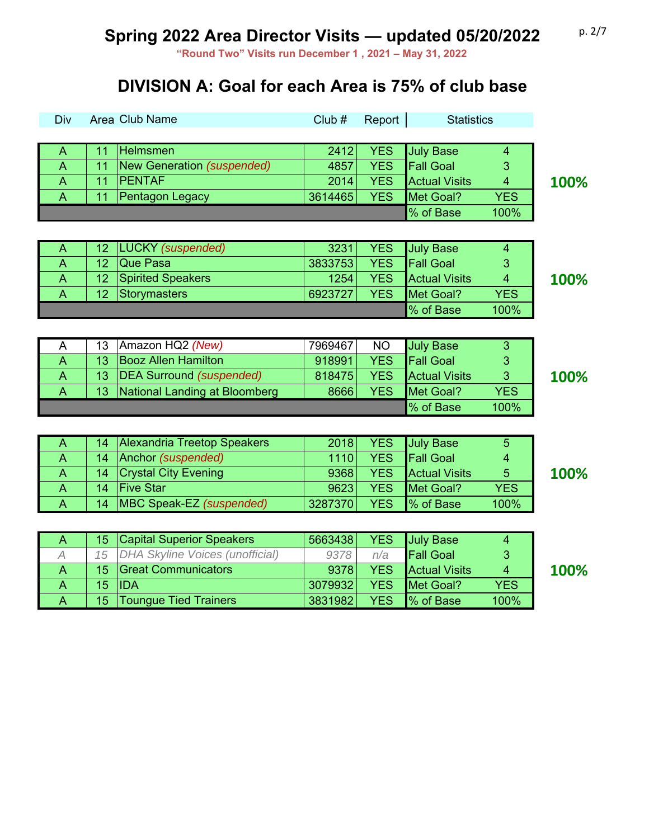**"Round Two" Visits run December 1 , 2021 – May 31, 2022**

### **DIVISION A: Goal for each Area is 75% of club base**

| Div                      |    | Area Club Name                       | Club#   | Report     | <b>Statistics</b>    |                         |      |
|--------------------------|----|--------------------------------------|---------|------------|----------------------|-------------------------|------|
|                          |    |                                      |         |            |                      |                         |      |
| A                        | 11 | Helmsmen                             | 2412    | <b>YES</b> | <b>July Base</b>     | 4                       |      |
| A                        | 11 | New Generation (suspended)           | 4857    | <b>YES</b> | <b>Fall Goal</b>     | 3                       |      |
| A                        | 11 | <b>PENTAF</b>                        | 2014    | <b>YES</b> | <b>Actual Visits</b> | 4                       | 100% |
| A                        | 11 | Pentagon Legacy                      | 3614465 | <b>YES</b> | Met Goal?            | <b>YES</b>              |      |
|                          |    |                                      |         |            | % of Base            | 100%                    |      |
|                          |    |                                      |         |            |                      |                         |      |
| A                        | 12 | <b>LUCKY</b> (suspended)             | 3231    | <b>YES</b> | <b>July Base</b>     | $\overline{\mathbf{4}}$ |      |
| $\overline{A}$           | 12 | Que Pasa                             | 3833753 | <b>YES</b> | <b>Fall Goal</b>     | 3                       |      |
| A                        | 12 | <b>Spirited Speakers</b>             | 1254    | <b>YES</b> | <b>Actual Visits</b> | $\overline{4}$          | 100% |
| $\overline{A}$           | 12 | <b>Storymasters</b>                  | 6923727 | <b>YES</b> | Met Goal?            | <b>YES</b>              |      |
|                          |    |                                      |         |            | % of Base            | 100%                    |      |
|                          |    |                                      |         |            |                      |                         |      |
| A                        | 13 | Amazon HQ2 (New)                     | 7969467 | <b>NO</b>  | <b>July Base</b>     | $\mathbf{3}$            |      |
| $\overline{A}$           | 13 | <b>Booz Allen Hamilton</b>           | 918991  | <b>YES</b> | <b>Fall Goal</b>     | 3                       |      |
| $\overline{A}$           | 13 | <b>DEA Surround (suspended)</b>      | 818475  | <b>YES</b> | <b>Actual Visits</b> | 3                       | 100% |
| $\overline{A}$           | 13 | <b>National Landing at Bloomberg</b> | 8666    | <b>YES</b> | Met Goal?            | <b>YES</b>              |      |
|                          |    |                                      |         |            | % of Base            | 100%                    |      |
|                          |    |                                      |         |            |                      |                         |      |
| A                        | 14 | <b>Alexandria Treetop Speakers</b>   | 2018    | <b>YES</b> | <b>July Base</b>     | $\overline{5}$          |      |
| A                        | 14 | Anchor (suspended)                   | 1110    | <b>YES</b> | <b>Fall Goal</b>     | $\overline{4}$          |      |
| A                        | 14 | <b>Crystal City Evening</b>          | 9368    | <b>YES</b> | <b>Actual Visits</b> | 5                       | 100% |
| A                        | 14 | <b>Five Star</b>                     | 9623    | <b>YES</b> | Met Goal?            | <b>YES</b>              |      |
| A                        | 14 | MBC Speak-EZ (suspended)             | 3287370 | <b>YES</b> | % of Base            | 100%                    |      |
|                          |    |                                      |         |            |                      |                         |      |
| A                        | 15 | <b>Capital Superior Speakers</b>     | 5663438 | <b>YES</b> | <b>July Base</b>     | 4                       |      |
| $\overline{\mathcal{A}}$ | 15 | DHA Skyline Voices (unofficial)      | 9378    | n/a        | <b>Fall Goal</b>     | 3                       |      |
| A                        | 15 | <b>Great Communicators</b>           | 9378    | <b>YES</b> | <b>Actual Visits</b> | $\overline{4}$          | 100% |
| $\overline{\mathsf{A}}$  | 15 | <b>IDA</b>                           | 3079932 | <b>YES</b> | Met Goal?            | <b>YES</b>              |      |
| A                        | 15 | <b>Toungue Tied Trainers</b>         | 3831982 | <b>YES</b> | % of Base            | 100%                    |      |
|                          |    |                                      |         |            |                      |                         |      |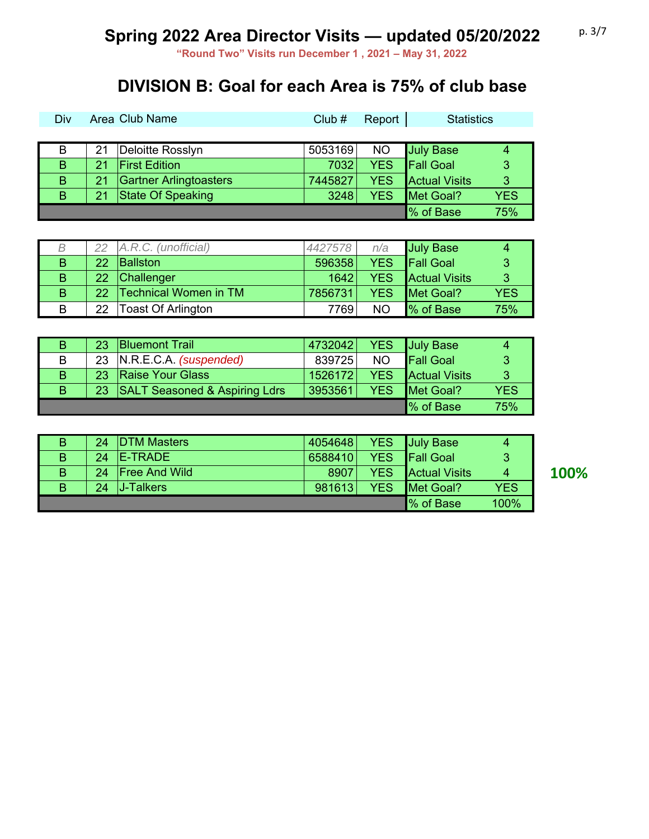**"Round Two" Visits run December 1 , 2021 – May 31, 2022**

### **DIVISION B: Goal for each Area is 75% of club base**

| Div |    | Area Club Name         | Club#   | Report     | <b>Statistics</b>    |            |
|-----|----|------------------------|---------|------------|----------------------|------------|
|     |    |                        |         |            |                      |            |
| B   | 21 | Deloitte Rosslyn       | 5053169 | <b>NO</b>  | <b>July Base</b>     | 4          |
| B   | 21 | <b>First Edition</b>   | 7032    | <b>YES</b> | <b>Fall Goal</b>     | 3          |
| B   | 21 | Gartner Arlingtoasters | 7445827 | <b>YES</b> | <b>Actual Visits</b> | -3         |
| B   | 21 | State Of Speaking      | 3248    | <b>YES</b> | Met Goal?            | <b>YES</b> |
|     |    |                        |         |            | <u>I</u> % of Base   | 75%        |

|    | 22  | A.R.C. (unofficial)          | 4427578 | n/a        | <b>July Base</b>     |            |
|----|-----|------------------------------|---------|------------|----------------------|------------|
| B  | 22  | <b>Ballston</b>              | 596358  | <b>YES</b> | <b>Fall Goal</b>     | ్          |
| B  | 22  | <b>Challenger</b>            | 1642    | YES        | <b>Actual Visits</b> | -2         |
| B. | 22. | <b>Technical Women in TM</b> | 7856731 | YES        | Met Goal?            | <b>YES</b> |
| B  | 22  | <b>Toast Of Arlington</b>    | 7769    | <b>NO</b>  | % of Base            | 75%        |

| В  | 23 <sup>1</sup> | <b>Bluemont Trail</b>            | 4732042 |            | <b>YES</b> July Base |      |
|----|-----------------|----------------------------------|---------|------------|----------------------|------|
| В  |                 | 23 N.R.E.C.A. (suspended)        | 839725  | <b>NO</b>  | <b>Fall Goal</b>     |      |
| B. | 23.             | <b>Raise Your Glass</b>          | 1526172 | <b>YES</b> | <b>Actual Visits</b> | -3   |
| B. |                 | 23 SALT Seasoned & Aspiring Ldrs | 3953561 | YES.       | Met Goal?            | YES. |
|    |                 |                                  |         |            | Ⅰ% of Base           | 75%  |

| B. | 24 <sup>1</sup> | <b>IDTM Masters</b>   | 4054648 |            | <b>YES</b> July Base   | 4          |
|----|-----------------|-----------------------|---------|------------|------------------------|------------|
| B. | 24              | <b>IE-TRADE</b>       | 6588410 | <b>YES</b> | <b>Fall Goal</b>       | 3          |
| B. | 24              | <b>IFree And Wild</b> | 8907    | YES.       | <b>Actual Visits</b>   | 4          |
| B  | 24              | <b>J</b> -Talkers     | 981613  | <b>YES</b> | <b>IMet Goal?</b>      | <b>YES</b> |
|    |                 |                       |         |            | $\mathsf{I}\%$ of Base | 100%       |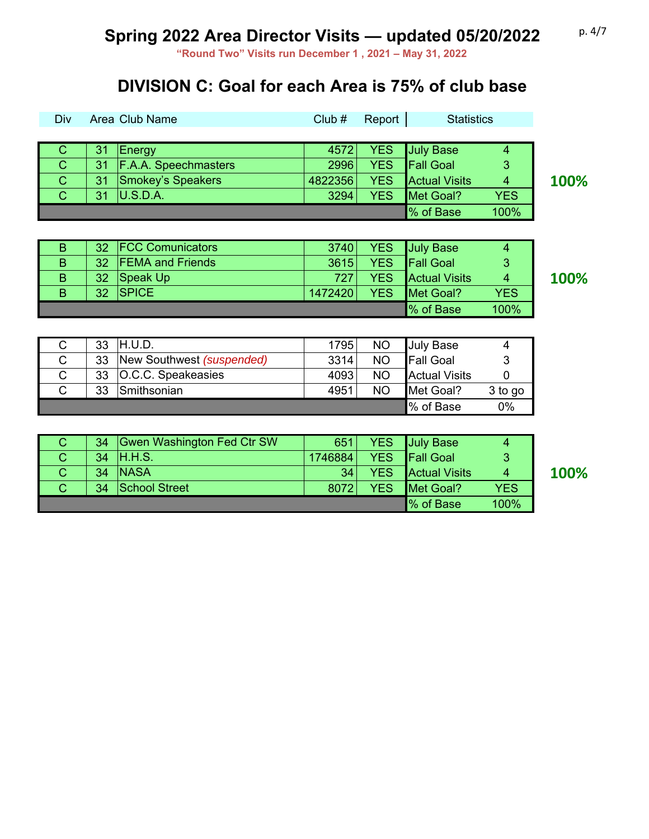**"Round Two" Visits run December 1 , 2021 – May 31, 2022**

### **DIVISION C: Goal for each Area is 75% of club base**

| <b>Div</b>   |    | Area Club Name              | Club#   | Report     | <b>Statistics</b>    |            |      |
|--------------|----|-----------------------------|---------|------------|----------------------|------------|------|
|              |    |                             |         |            |                      |            |      |
| C            | 31 | Energy                      | 4572    | <b>YES</b> | <b>July Base</b>     | 4          |      |
| $\mathsf{C}$ | 31 | <b>F.A.A. Speechmasters</b> | 2996    | <b>YES</b> | <b>Fall Goal</b>     | 3          |      |
| $\mathsf{C}$ | 31 | Smokey's Speakers           | 4822356 | <b>YES</b> | <b>Actual Visits</b> | 4          | 100% |
| $\mathbf C$  | 31 | U.S.D.A.                    | 3294    | <b>YES</b> | Met Goal?            | <b>YES</b> |      |
|              |    |                             |         |            | <u>I</u> % of Base   | 100%       |      |

| B |                 | 32   FCC Comunicators   | 3740    | YES July Base                 | Δ    |      |
|---|-----------------|-------------------------|---------|-------------------------------|------|------|
| B | 32              | <b>FEMA and Friends</b> | 3615    | YES Fall Goal<br>3            |      |      |
| B | 32              | Speak Up                | 7271    | <b>YES</b> Actual Visits<br>4 |      | 100% |
| B | 32 <sup>1</sup> | <b>ISPICE</b>           | 1472420 | YES Met Goal?<br><b>YES</b>   |      |      |
|   |                 |                         |         | <b>Ⅰ%</b> of Base             | 100% |      |

| 33 | H.U.D.                    | 1795 | <b>NO</b> | <b>July Base</b>     |         |
|----|---------------------------|------|-----------|----------------------|---------|
| 33 | New Southwest (suspended) | 3314 | <b>NO</b> | <b>Fall Goal</b>     |         |
| 33 | O.C.C. Speakeasies        | 4093 | <b>NO</b> | <b>Actual Visits</b> |         |
| 33 | Smithsonian               | 4951 | <b>NO</b> | Met Goal?            | 3 to go |
|    |                           |      |           | <b>Ⅰ%</b> of Base    | $0\%$   |

| 34              | Gwen Washington Fed Ctr SW | 651     |            | YES July Base                 | 4              |
|-----------------|----------------------------|---------|------------|-------------------------------|----------------|
| 34 <sup>1</sup> | H.H.S.                     | 1746884 | <b>YES</b> | <b>Fall Goal</b>              | 3              |
| 34              | <b>NASA</b>                | 34      | <b>YES</b> | <b>Actual Visits</b>          | $\overline{4}$ |
| 34 <sup>1</sup> | School Street              | 8072    | <b>YES</b> | Met Goal?                     | <b>YES</b>     |
|                 |                            |         |            | <u>I</u> <sup>%</sup> of Base | 100%           |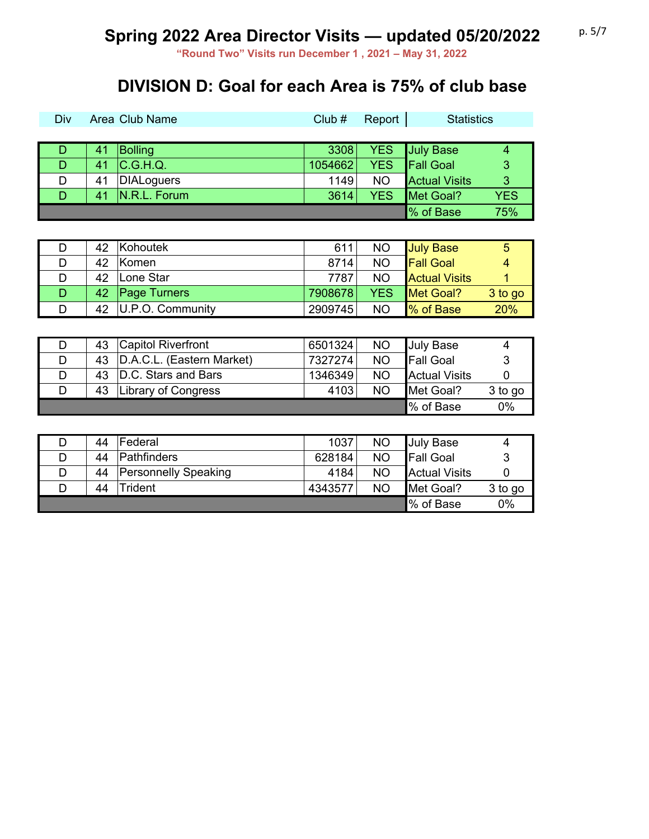**"Round Two" Visits run December 1 , 2021 – May 31, 2022**

### **DIVISION D: Goal for each Area is 75% of club base**

| Div | Area Club Name |                   | Club#   | Report     | <b>Statistics</b>    |                |
|-----|----------------|-------------------|---------|------------|----------------------|----------------|
|     |                |                   |         |            |                      |                |
| D   | 41             | Bolling           | 3308    | <b>YES</b> | <b>July Base</b>     | 4              |
| D   | 41             | C.G.H.Q.          | 1054662 | <b>YES</b> | <b>Fall Goal</b>     | 3              |
| D   | 41             | <b>DIALoguers</b> | 1149    | <b>NO</b>  | <b>Actual Visits</b> | $\overline{3}$ |
| D   | 41             | N.R.L. Forum      | 3614    | <b>YES</b> | Met Goal?            | <b>YES</b>     |
|     |                |                   |         |            | % of Base            | 75%            |

|   | 42 | Kohoutek            | 611     | <b>NO</b>  | <b>July Base</b>     | 5       |
|---|----|---------------------|---------|------------|----------------------|---------|
|   | 42 | <b>Komen</b>        | 8714    | <b>NO</b>  | <b>Fall Goal</b>     | 4       |
| D | 42 | ∣Lone Star          | 7787    | <b>NO</b>  | <b>Actual Visits</b> |         |
| D | 42 | <b>Page Turners</b> | 7908678 | <b>YES</b> | <b>IMet Goal?</b>    | 3 to go |
|   | 42 | U.P.O. Community    | 2909745 | <b>NO</b>  | % of Base            | 20%     |

| 43 | <b>Capitol Riverfront</b> | 6501324 | <b>NO</b> | <b>July Base</b>     | 4       |
|----|---------------------------|---------|-----------|----------------------|---------|
| 43 | D.A.C.L. (Eastern Market) | 7327274 | <b>NO</b> | <b>Fall Goal</b>     |         |
| 43 | D.C. Stars and Bars       | 1346349 | <b>NO</b> | <b>Actual Visits</b> |         |
|    | 43   Library of Congress  | 4103    | NO.       | <b>IMet Goal?</b>    | 3 to go |
|    |                           |         |           | <b>Ⅰ%</b> of Base    | 0%      |

|   | 44 | Federal                     | 1037    | <b>NO</b> | <b>July Base</b>     | 4       |
|---|----|-----------------------------|---------|-----------|----------------------|---------|
|   | 44 | <b>Pathfinders</b>          | 628184  | <b>NO</b> | <b>Fall Goal</b>     |         |
| D | 44 | <b>Personnelly Speaking</b> | 4184    | <b>NO</b> | <b>Actual Visits</b> |         |
|   | 44 | Trident                     | 4343577 | <b>NO</b> | Met Goal?            | 3 to go |
|   |    |                             |         |           | Ⅰ% of Base           | 0%      |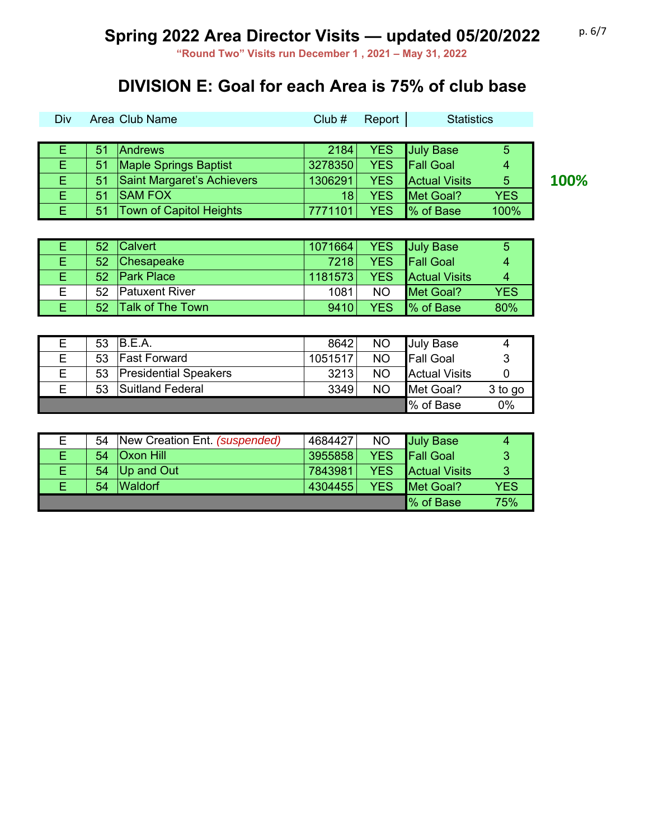**"Round Two" Visits run December 1 , 2021 – May 31, 2022**

### **DIVISION E: Goal for each Area is 75% of club base**

| <b>Div</b> |    | Area Club Name                 | Club#   | Report     | <b>Statistics</b>    |            |   |
|------------|----|--------------------------------|---------|------------|----------------------|------------|---|
|            |    |                                |         |            |                      |            |   |
|            | 51 | <b>Andrews</b>                 | 2184    | YES.       | July Base            | 5          |   |
| E.         | 51 | <b>Maple Springs Baptist</b>   | 3278350 | <b>YES</b> | <b>Fall Goal</b>     | 4          |   |
| E.         | 51 | Saint Margaret's Achievers     | 1306291 | <b>YES</b> | <b>Actual Visits</b> | 5          | 1 |
| E          | 51 | <b>SAM FOX</b>                 | 18      | <b>YES</b> | Met Goal?            | <b>YES</b> |   |
| Ε          | 51 | <b>Town of Capitol Heights</b> |         | <b>YES</b> | Ⅰ% of Base           | 100%       |   |

|    | 52 <sub>2</sub> | <b>Calvert</b>          | 1071664 |            | <b>YES</b> July Base | 5          |
|----|-----------------|-------------------------|---------|------------|----------------------|------------|
|    | 52              | Chesapeake              | 7218    | YES.       | <b>Fall Goal</b>     | 4          |
|    | 52 <sub>2</sub> | <b>Park Place</b>       | 1181573 | <b>YES</b> | <b>Actual Visits</b> |            |
| F. | 52              | <b>Patuxent River</b>   | 1081    | <b>NO</b>  | Met Goal?            | <b>YES</b> |
|    | 52              | <b>Talk of The Town</b> | 9410    | <b>YES</b> | Ⅰ% of Base           | 80%        |

|   | 53 | B.E.A.                       | 8642    | <b>NO</b> | <b>July Base</b>     |         |
|---|----|------------------------------|---------|-----------|----------------------|---------|
| F | 53 | <b>Fast Forward</b>          | 1051517 | <b>NO</b> | <b>Fall Goal</b>     |         |
| Е | 53 | <b>Presidential Speakers</b> | 3213    | <b>NO</b> | <b>Actual Visits</b> |         |
| F | 53 | Suitland Federal             | 3349    | <b>NO</b> | Met Goal?            | 3 to go |
|   |    |                              |         |           | % of Base            | 0%      |

| Е  | 54 | New Creation Ent. (suspended) | 4684427           | <b>NO</b>  | <b>July Base</b>     |            |
|----|----|-------------------------------|-------------------|------------|----------------------|------------|
|    | 54 | <b>Oxon Hill</b>              | 3955858           | <b>YES</b> | <b>Fall Goal</b>     | 3          |
| Е. |    | 54   Up and Out               | 7843981           | <b>YES</b> | <b>Actual Visits</b> | 3          |
|    | 54 | <b>Waldorf</b>                | 4304455           | <b>YES</b> | Met Goal?            | <b>YES</b> |
|    |    |                               | <b>Ⅰ%</b> of Base | 75%        |                      |            |